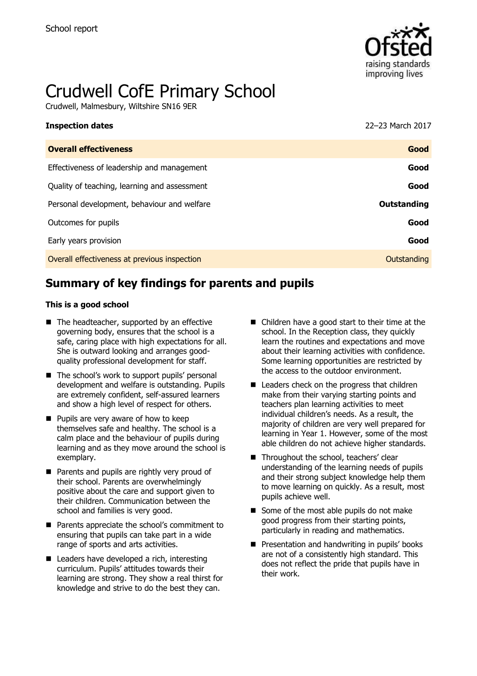

# Crudwell CofE Primary School

Crudwell, Malmesbury, Wiltshire SN16 9ER

| <b>Inspection dates</b>                      | 22-23 March 2017 |
|----------------------------------------------|------------------|
| <b>Overall effectiveness</b>                 | Good             |
| Effectiveness of leadership and management   | Good             |
| Quality of teaching, learning and assessment | Good             |
| Personal development, behaviour and welfare  | Outstanding      |
| Outcomes for pupils                          | Good             |
| Early years provision                        | Good             |
| Overall effectiveness at previous inspection | Outstanding      |
|                                              |                  |

# **Summary of key findings for parents and pupils**

#### **This is a good school**

- $\blacksquare$  The headteacher, supported by an effective governing body, ensures that the school is a safe, caring place with high expectations for all. She is outward looking and arranges goodquality professional development for staff.
- The school's work to support pupils' personal development and welfare is outstanding. Pupils are extremely confident, self-assured learners and show a high level of respect for others.
- **Pupils are very aware of how to keep** themselves safe and healthy. The school is a calm place and the behaviour of pupils during learning and as they move around the school is exemplary.
- Parents and pupils are rightly very proud of their school. Parents are overwhelmingly positive about the care and support given to their children. Communication between the school and families is very good.
- Parents appreciate the school's commitment to ensuring that pupils can take part in a wide range of sports and arts activities.
- Leaders have developed a rich, interesting curriculum. Pupils' attitudes towards their learning are strong. They show a real thirst for knowledge and strive to do the best they can.
- Children have a good start to their time at the school. In the Reception class, they quickly learn the routines and expectations and move about their learning activities with confidence. Some learning opportunities are restricted by the access to the outdoor environment.
- Leaders check on the progress that children make from their varying starting points and teachers plan learning activities to meet individual children's needs. As a result, the majority of children are very well prepared for learning in Year 1. However, some of the most able children do not achieve higher standards.
- Throughout the school, teachers' clear understanding of the learning needs of pupils and their strong subject knowledge help them to move learning on quickly. As a result, most pupils achieve well.
- Some of the most able pupils do not make good progress from their starting points, particularly in reading and mathematics.
- **Presentation and handwriting in pupils' books** are not of a consistently high standard. This does not reflect the pride that pupils have in their work.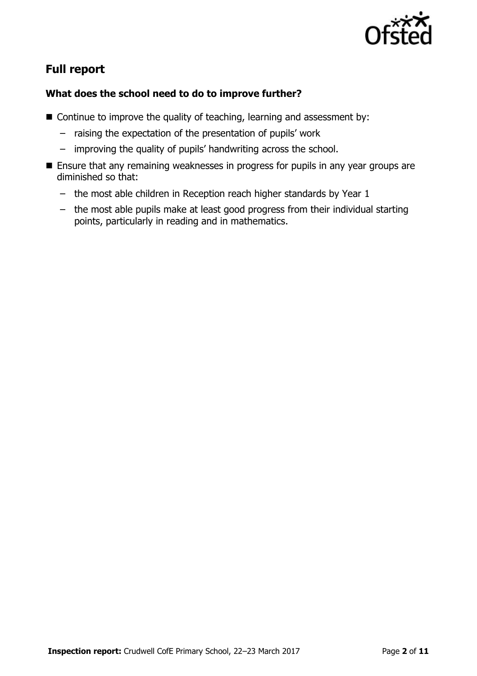

# **Full report**

### **What does the school need to do to improve further?**

- $\blacksquare$  Continue to improve the quality of teaching, learning and assessment by:
	- raising the expectation of the presentation of pupils' work
	- improving the quality of pupils' handwriting across the school.
- **Ensure that any remaining weaknesses in progress for pupils in any year groups are** diminished so that:
	- the most able children in Reception reach higher standards by Year 1
	- the most able pupils make at least good progress from their individual starting points, particularly in reading and in mathematics.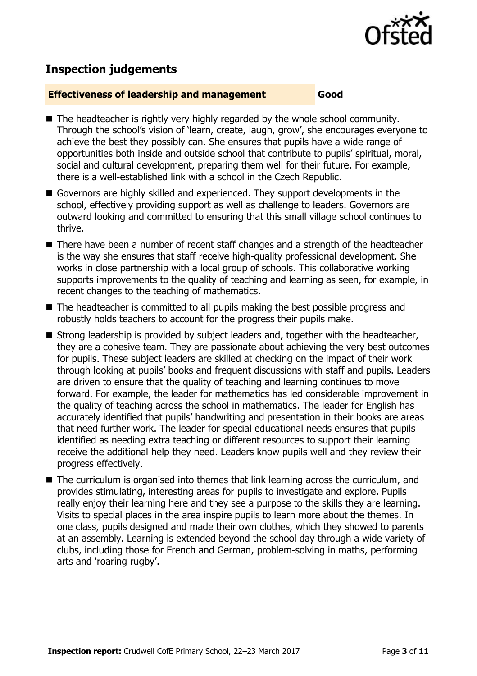

## **Inspection judgements**

#### **Effectiveness of leadership and management Good**

- The headteacher is rightly very highly regarded by the whole school community. Through the school's vision of 'learn, create, laugh, grow', she encourages everyone to achieve the best they possibly can. She ensures that pupils have a wide range of opportunities both inside and outside school that contribute to pupils' spiritual, moral, social and cultural development, preparing them well for their future. For example, there is a well-established link with a school in the Czech Republic.
- Governors are highly skilled and experienced. They support developments in the school, effectively providing support as well as challenge to leaders. Governors are outward looking and committed to ensuring that this small village school continues to thrive.
- There have been a number of recent staff changes and a strength of the headteacher is the way she ensures that staff receive high-quality professional development. She works in close partnership with a local group of schools. This collaborative working supports improvements to the quality of teaching and learning as seen, for example, in recent changes to the teaching of mathematics.
- The headteacher is committed to all pupils making the best possible progress and robustly holds teachers to account for the progress their pupils make.
- Strong leadership is provided by subject leaders and, together with the headteacher, they are a cohesive team. They are passionate about achieving the very best outcomes for pupils. These subject leaders are skilled at checking on the impact of their work through looking at pupils' books and frequent discussions with staff and pupils. Leaders are driven to ensure that the quality of teaching and learning continues to move forward. For example, the leader for mathematics has led considerable improvement in the quality of teaching across the school in mathematics. The leader for English has accurately identified that pupils' handwriting and presentation in their books are areas that need further work. The leader for special educational needs ensures that pupils identified as needing extra teaching or different resources to support their learning receive the additional help they need. Leaders know pupils well and they review their progress effectively.
- The curriculum is organised into themes that link learning across the curriculum, and provides stimulating, interesting areas for pupils to investigate and explore. Pupils really enjoy their learning here and they see a purpose to the skills they are learning. Visits to special places in the area inspire pupils to learn more about the themes. In one class, pupils designed and made their own clothes, which they showed to parents at an assembly. Learning is extended beyond the school day through a wide variety of clubs, including those for French and German, problem-solving in maths, performing arts and 'roaring rugby'.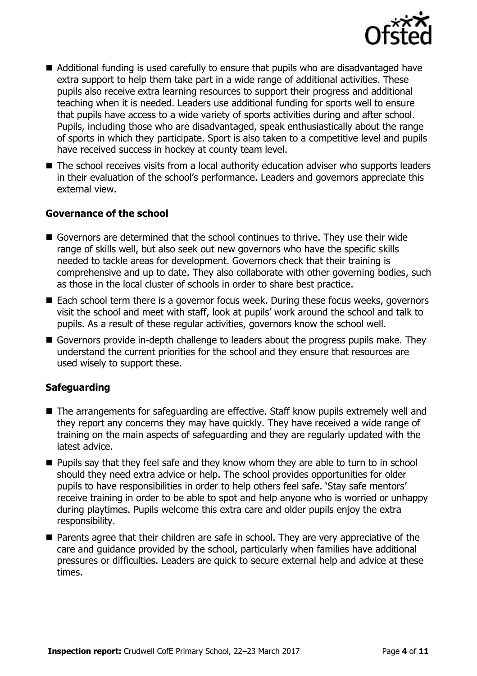

- Additional funding is used carefully to ensure that pupils who are disadvantaged have extra support to help them take part in a wide range of additional activities. These pupils also receive extra learning resources to support their progress and additional teaching when it is needed. Leaders use additional funding for sports well to ensure that pupils have access to a wide variety of sports activities during and after school. Pupils, including those who are disadvantaged, speak enthusiastically about the range of sports in which they participate. Sport is also taken to a competitive level and pupils have received success in hockey at county team level.
- The school receives visits from a local authority education adviser who supports leaders in their evaluation of the school's performance. Leaders and governors appreciate this external view.

### **Governance of the school**

- Governors are determined that the school continues to thrive. They use their wide range of skills well, but also seek out new governors who have the specific skills needed to tackle areas for development. Governors check that their training is comprehensive and up to date. They also collaborate with other governing bodies, such as those in the local cluster of schools in order to share best practice.
- Each school term there is a governor focus week. During these focus weeks, governors visit the school and meet with staff, look at pupils' work around the school and talk to pupils. As a result of these regular activities, governors know the school well.
- Governors provide in-depth challenge to leaders about the progress pupils make. They understand the current priorities for the school and they ensure that resources are used wisely to support these.

### **Safeguarding**

- The arrangements for safeguarding are effective. Staff know pupils extremely well and they report any concerns they may have quickly. They have received a wide range of training on the main aspects of safeguarding and they are regularly updated with the latest advice.
- **Pupils say that they feel safe and they know whom they are able to turn to in school** should they need extra advice or help. The school provides opportunities for older pupils to have responsibilities in order to help others feel safe. 'Stay safe mentors' receive training in order to be able to spot and help anyone who is worried or unhappy during playtimes. Pupils welcome this extra care and older pupils enjoy the extra responsibility.
- **Parents agree that their children are safe in school. They are very appreciative of the** care and guidance provided by the school, particularly when families have additional pressures or difficulties. Leaders are quick to secure external help and advice at these times.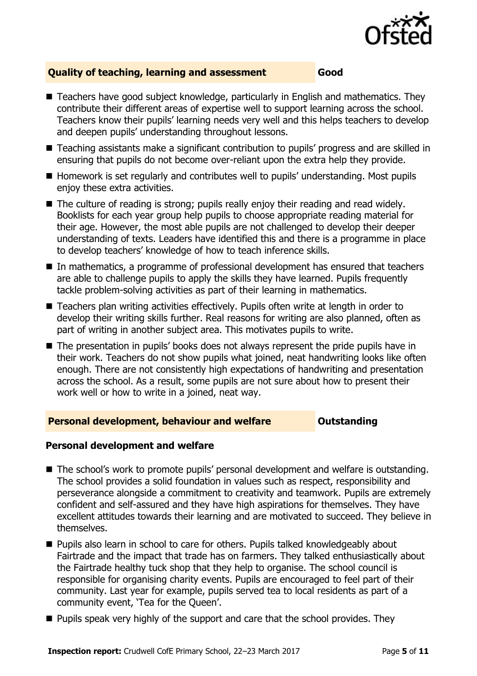

### **Quality of teaching, learning and assessment Good**

- Teachers have good subject knowledge, particularly in English and mathematics. They contribute their different areas of expertise well to support learning across the school. Teachers know their pupils' learning needs very well and this helps teachers to develop and deepen pupils' understanding throughout lessons.
- Teaching assistants make a significant contribution to pupils' progress and are skilled in ensuring that pupils do not become over-reliant upon the extra help they provide.
- Homework is set regularly and contributes well to pupils' understanding. Most pupils enjoy these extra activities.
- The culture of reading is strong; pupils really enjoy their reading and read widely. Booklists for each year group help pupils to choose appropriate reading material for their age. However, the most able pupils are not challenged to develop their deeper understanding of texts. Leaders have identified this and there is a programme in place to develop teachers' knowledge of how to teach inference skills.
- In mathematics, a programme of professional development has ensured that teachers are able to challenge pupils to apply the skills they have learned. Pupils frequently tackle problem-solving activities as part of their learning in mathematics.
- Teachers plan writing activities effectively. Pupils often write at length in order to develop their writing skills further. Real reasons for writing are also planned, often as part of writing in another subject area. This motivates pupils to write.
- The presentation in pupils' books does not always represent the pride pupils have in their work. Teachers do not show pupils what joined, neat handwriting looks like often enough. There are not consistently high expectations of handwriting and presentation across the school. As a result, some pupils are not sure about how to present their work well or how to write in a joined, neat way.

#### **Personal development, behaviour and welfare <b>COUTS** Outstanding

### **Personal development and welfare**

- The school's work to promote pupils' personal development and welfare is outstanding. The school provides a solid foundation in values such as respect, responsibility and perseverance alongside a commitment to creativity and teamwork. Pupils are extremely confident and self-assured and they have high aspirations for themselves. They have excellent attitudes towards their learning and are motivated to succeed. They believe in themselves.
- **Pupils also learn in school to care for others. Pupils talked knowledgeably about** Fairtrade and the impact that trade has on farmers. They talked enthusiastically about the Fairtrade healthy tuck shop that they help to organise. The school council is responsible for organising charity events. Pupils are encouraged to feel part of their community. Last year for example, pupils served tea to local residents as part of a community event, 'Tea for the Queen'.
- **Pupils speak very highly of the support and care that the school provides. They**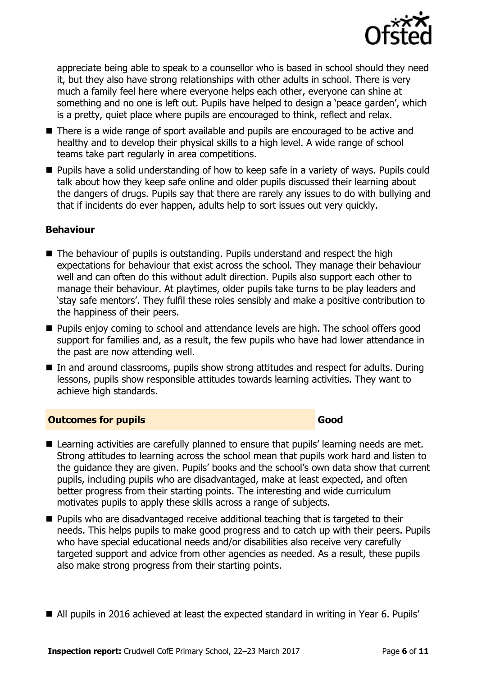

appreciate being able to speak to a counsellor who is based in school should they need it, but they also have strong relationships with other adults in school. There is very much a family feel here where everyone helps each other, everyone can shine at something and no one is left out. Pupils have helped to design a 'peace garden', which is a pretty, quiet place where pupils are encouraged to think, reflect and relax.

- There is a wide range of sport available and pupils are encouraged to be active and healthy and to develop their physical skills to a high level. A wide range of school teams take part regularly in area competitions.
- **Pupils have a solid understanding of how to keep safe in a variety of ways. Pupils could** talk about how they keep safe online and older pupils discussed their learning about the dangers of drugs. Pupils say that there are rarely any issues to do with bullying and that if incidents do ever happen, adults help to sort issues out very quickly.

#### **Behaviour**

- The behaviour of pupils is outstanding. Pupils understand and respect the high expectations for behaviour that exist across the school. They manage their behaviour well and can often do this without adult direction. Pupils also support each other to manage their behaviour. At playtimes, older pupils take turns to be play leaders and 'stay safe mentors'. They fulfil these roles sensibly and make a positive contribution to the happiness of their peers.
- **Pupils enjoy coming to school and attendance levels are high. The school offers good** support for families and, as a result, the few pupils who have had lower attendance in the past are now attending well.
- In and around classrooms, pupils show strong attitudes and respect for adults. During lessons, pupils show responsible attitudes towards learning activities. They want to achieve high standards.

### **Outcomes for pupils Good**

- Learning activities are carefully planned to ensure that pupils' learning needs are met. Strong attitudes to learning across the school mean that pupils work hard and listen to the guidance they are given. Pupils' books and the school's own data show that current pupils, including pupils who are disadvantaged, make at least expected, and often better progress from their starting points. The interesting and wide curriculum motivates pupils to apply these skills across a range of subjects.
- **Pupils who are disadvantaged receive additional teaching that is targeted to their** needs. This helps pupils to make good progress and to catch up with their peers. Pupils who have special educational needs and/or disabilities also receive very carefully targeted support and advice from other agencies as needed. As a result, these pupils also make strong progress from their starting points.
- All pupils in 2016 achieved at least the expected standard in writing in Year 6. Pupils'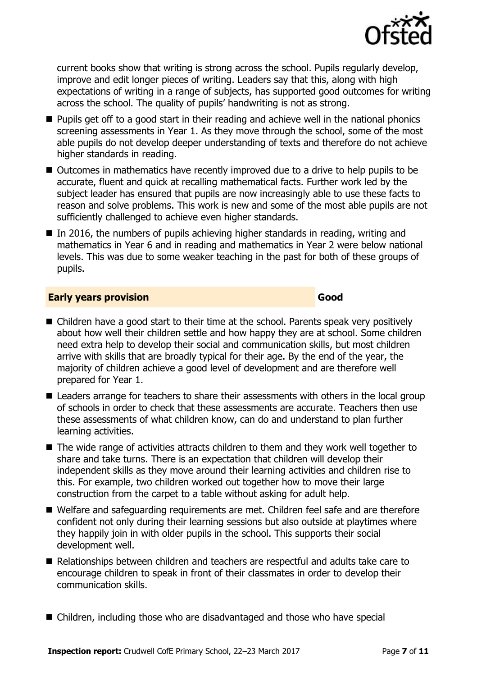

current books show that writing is strong across the school. Pupils regularly develop, improve and edit longer pieces of writing. Leaders say that this, along with high expectations of writing in a range of subjects, has supported good outcomes for writing across the school. The quality of pupils' handwriting is not as strong.

- **Pupils get off to a good start in their reading and achieve well in the national phonics** screening assessments in Year 1. As they move through the school, some of the most able pupils do not develop deeper understanding of texts and therefore do not achieve higher standards in reading.
- Outcomes in mathematics have recently improved due to a drive to help pupils to be accurate, fluent and quick at recalling mathematical facts. Further work led by the subject leader has ensured that pupils are now increasingly able to use these facts to reason and solve problems. This work is new and some of the most able pupils are not sufficiently challenged to achieve even higher standards.
- $\blacksquare$  In 2016, the numbers of pupils achieving higher standards in reading, writing and mathematics in Year 6 and in reading and mathematics in Year 2 were below national levels. This was due to some weaker teaching in the past for both of these groups of pupils.

#### **Early years provision Good Good**

- Children have a good start to their time at the school. Parents speak very positively about how well their children settle and how happy they are at school. Some children need extra help to develop their social and communication skills, but most children arrive with skills that are broadly typical for their age. By the end of the year, the majority of children achieve a good level of development and are therefore well prepared for Year 1.
- Leaders arrange for teachers to share their assessments with others in the local group of schools in order to check that these assessments are accurate. Teachers then use these assessments of what children know, can do and understand to plan further learning activities.
- The wide range of activities attracts children to them and they work well together to share and take turns. There is an expectation that children will develop their independent skills as they move around their learning activities and children rise to this. For example, two children worked out together how to move their large construction from the carpet to a table without asking for adult help.
- Welfare and safeguarding requirements are met. Children feel safe and are therefore confident not only during their learning sessions but also outside at playtimes where they happily join in with older pupils in the school. This supports their social development well.
- Relationships between children and teachers are respectful and adults take care to encourage children to speak in front of their classmates in order to develop their communication skills.
- Children, including those who are disadvantaged and those who have special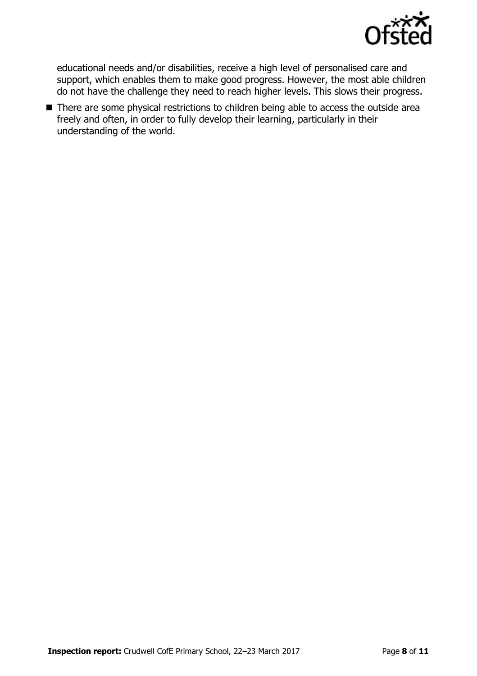

educational needs and/or disabilities, receive a high level of personalised care and support, which enables them to make good progress. However, the most able children do not have the challenge they need to reach higher levels. This slows their progress.

■ There are some physical restrictions to children being able to access the outside area freely and often, in order to fully develop their learning, particularly in their understanding of the world.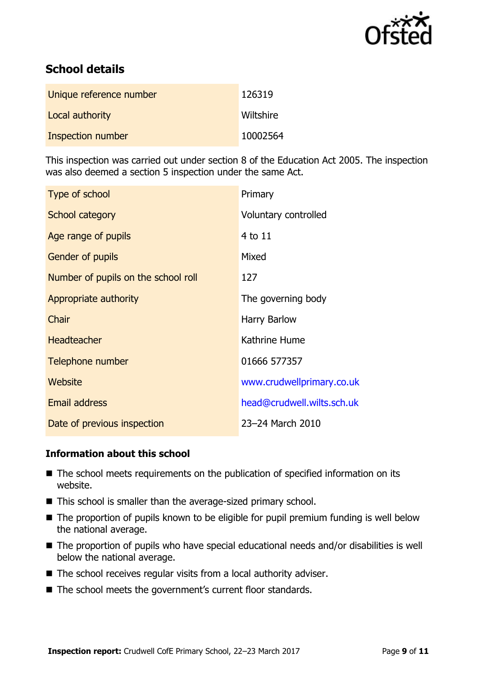

# **School details**

| Unique reference number | 126319    |
|-------------------------|-----------|
| Local authority         | Wiltshire |
| Inspection number       | 10002564  |

This inspection was carried out under section 8 of the Education Act 2005. The inspection was also deemed a section 5 inspection under the same Act.

| Type of school                      | Primary                    |
|-------------------------------------|----------------------------|
| School category                     | Voluntary controlled       |
| Age range of pupils                 | 4 to 11                    |
| <b>Gender of pupils</b>             | Mixed                      |
| Number of pupils on the school roll | 127                        |
| Appropriate authority               | The governing body         |
| Chair                               | Harry Barlow               |
| <b>Headteacher</b>                  | Kathrine Hume              |
| Telephone number                    | 01666 577357               |
| Website                             | www.crudwellprimary.co.uk  |
| <b>Email address</b>                | head@crudwell.wilts.sch.uk |
| Date of previous inspection         | 23-24 March 2010           |

### **Information about this school**

- The school meets requirements on the publication of specified information on its website.
- This school is smaller than the average-sized primary school.
- The proportion of pupils known to be eligible for pupil premium funding is well below the national average.
- The proportion of pupils who have special educational needs and/or disabilities is well below the national average.
- The school receives regular visits from a local authority adviser.
- The school meets the government's current floor standards.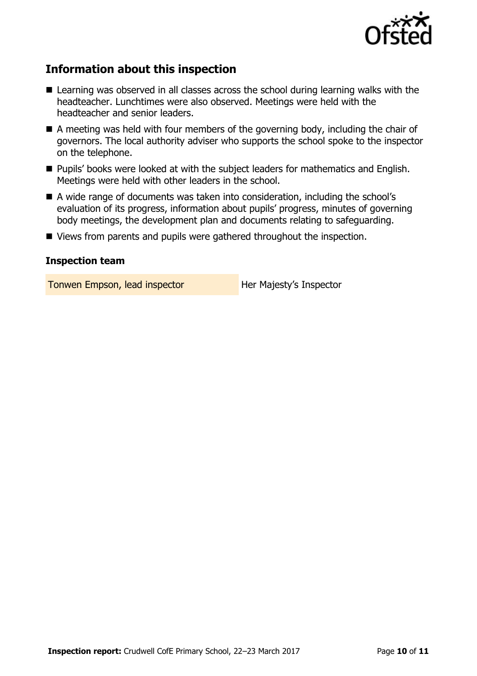

# **Information about this inspection**

- Learning was observed in all classes across the school during learning walks with the headteacher. Lunchtimes were also observed. Meetings were held with the headteacher and senior leaders.
- A meeting was held with four members of the governing body, including the chair of governors. The local authority adviser who supports the school spoke to the inspector on the telephone.
- **Pupils' books were looked at with the subject leaders for mathematics and English.** Meetings were held with other leaders in the school.
- A wide range of documents was taken into consideration, including the school's evaluation of its progress, information about pupils' progress, minutes of governing body meetings, the development plan and documents relating to safeguarding.
- Views from parents and pupils were gathered throughout the inspection.

#### **Inspection team**

Tonwen Empson, lead inspector **Her Majesty's Inspector**